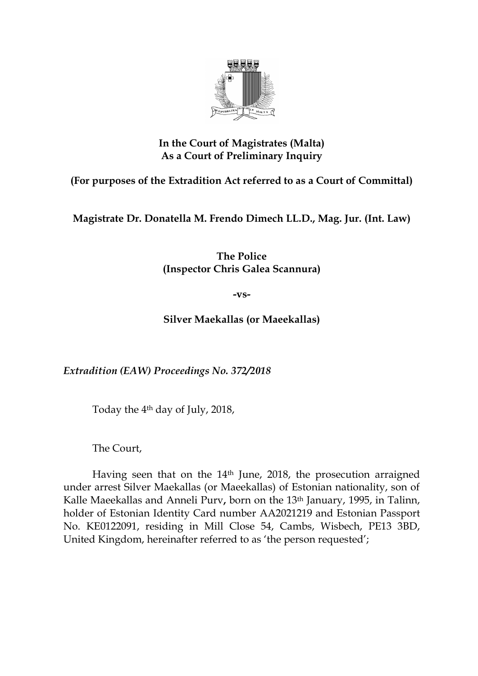

## **In the Court of Magistrates (Malta) As a Court of Preliminary Inquiry**

**(For purposes of the Extradition Act referred to as a Court of Committal)**

**Magistrate Dr. Donatella M. Frendo Dimech LL.D., Mag. Jur. (Int. Law)**

**The Police (Inspector Chris Galea Scannura)**

**-vs-**

**Silver Maekallas (or Maeekallas)**

*Extradition (EAW) Proceedings No. 372/2018*

Today the 4th day of July, 2018,

The Court,

Having seen that on the 14th June, 2018, the prosecution arraigned under arrest Silver Maekallas (or Maeekallas) of Estonian nationality, son of Kalle Maeekallas and Anneli Purv**,** born on the 13th January, 1995, in Talinn, holder of Estonian Identity Card number AA2021219 and Estonian Passport No. KE0122091, residing in Mill Close 54, Cambs, Wisbech, PE13 3BD, United Kingdom, hereinafter referred to as 'the person requested';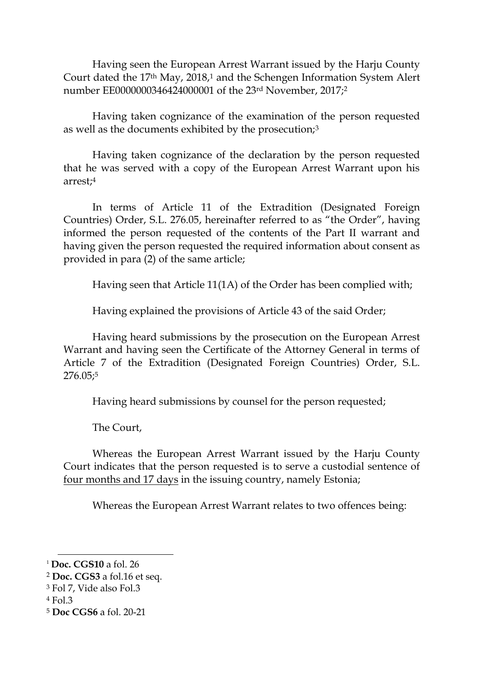Having seen the European Arrest Warrant issued by the Harju County Court dated the 17th May, 2018,<sup>1</sup> and the Schengen Information System Alert number EE0000000346424000001 of the 23rd November, 2017; 2

Having taken cognizance of the examination of the person requested as well as the documents exhibited by the prosecution;<sup>3</sup>

Having taken cognizance of the declaration by the person requested that he was served with a copy of the European Arrest Warrant upon his arrest;<sup>4</sup>

In terms of Article 11 of the Extradition (Designated Foreign Countries) Order, S.L. 276.05, hereinafter referred to as "the Order", having informed the person requested of the contents of the Part II warrant and having given the person requested the required information about consent as provided in para (2) of the same article;

Having seen that Article 11(1A) of the Order has been complied with;

Having explained the provisions of Article 43 of the said Order;

Having heard submissions by the prosecution on the European Arrest Warrant and having seen the Certificate of the Attorney General in terms of Article 7 of the Extradition (Designated Foreign Countries) Order, S.L. 276.05; 5

Having heard submissions by counsel for the person requested;

The Court,

Whereas the European Arrest Warrant issued by the Harju County Court indicates that the person requested is to serve a custodial sentence of four months and 17 days in the issuing country, namely Estonia;

Whereas the European Arrest Warrant relates to two offences being:

 $\overline{a}$ 

<sup>1</sup> **Doc. CGS10** a fol. 26

<sup>2</sup> **Doc. CGS3** a fol.16 et seq.

<sup>3</sup> Fol 7, Vide also Fol.3

<sup>4</sup> Fol.3

<sup>5</sup> **Doc CGS6** a fol. 20-21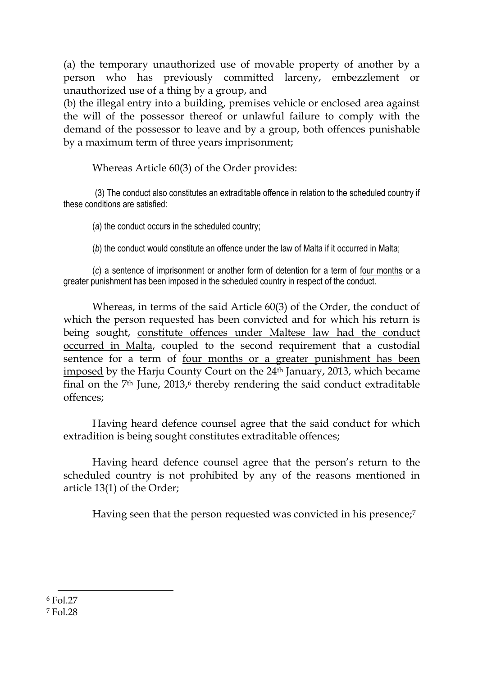(a) the temporary unauthorized use of movable property of another by a person who has previously committed larceny, embezzlement or unauthorized use of a thing by a group, and

(b) the illegal entry into a building, premises vehicle or enclosed area against the will of the possessor thereof or unlawful failure to comply with the demand of the possessor to leave and by a group, both offences punishable by a maximum term of three years imprisonment;

Whereas Article 60(3) of the Order provides:

(3) The conduct also constitutes an extraditable offence in relation to the scheduled country if these conditions are satisfied:

(*a*) the conduct occurs in the scheduled country;

(*b*) the conduct would constitute an offence under the law of Malta if it occurred in Malta;

(*c*) a sentence of imprisonment or another form of detention for a term of four months or a greater punishment has been imposed in the scheduled country in respect of the conduct.

Whereas, in terms of the said Article 60(3) of the Order, the conduct of which the person requested has been convicted and for which his return is being sought, constitute offences under Maltese law had the conduct occurred in Malta, coupled to the second requirement that a custodial sentence for a term of four months or a greater punishment has been imposed by the Harju County Court on the 24th January, 2013, which became final on the 7<sup>th</sup> June, 2013,<sup>6</sup> thereby rendering the said conduct extraditable offences;

Having heard defence counsel agree that the said conduct for which extradition is being sought constitutes extraditable offences;

Having heard defence counsel agree that the person's return to the scheduled country is not prohibited by any of the reasons mentioned in article 13(1) of the Order;

Having seen that the person requested was convicted in his presence;<sup>7</sup>

 $\overline{a}$ <sup>6</sup> Fol.27

<sup>7</sup> Fol.28